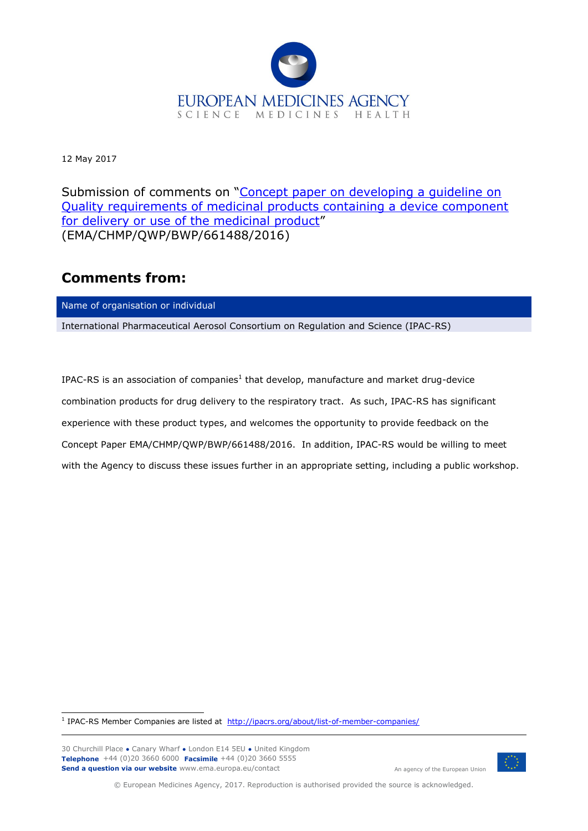

12 May 2017

Submission of comments on "Concept paper on developing a quideline on [Quality requirements of medicinal products containing a device component](http://www.ema.europa.eu/docs/en_GB/document_library/Scientific_guideline/2017/02/WC500221747.pdf)  [for delivery or use of the medicinal product](http://www.ema.europa.eu/docs/en_GB/document_library/Scientific_guideline/2017/02/WC500221747.pdf)" (EMA/CHMP/QWP/BWP/661488/2016)

## **Comments from:**

Name of organisation or individual

International Pharmaceutical Aerosol Consortium on Regulation and Science (IPAC-RS)

IPAC-RS is an association of companies<sup>1</sup> that develop, manufacture and market drug-device combination products for drug delivery to the respiratory tract. As such, IPAC-RS has significant experience with these product types, and welcomes the opportunity to provide feedback on the Concept Paper EMA/CHMP/QWP/BWP/661488/2016. In addition, IPAC-RS would be willing to meet with the Agency to discuss these issues further in an appropriate setting, including a public workshop.

1 IPAC-RS Member Companies are listed at <http://ipacrs.org/about/list-of-member-companies/>

30 Churchill Place **●** Canary Wharf **●** London E14 5EU **●** United Kingdom **Telephone** +44 (0)20 3660 6000 **Facsimile** +44 (0)20 3660 5555 **Send a question via our website** www.ema.europa.eu/contact



An agency of the European Union

© European Medicines Agency, 2017. Reproduction is authorised provided the source is acknowledged.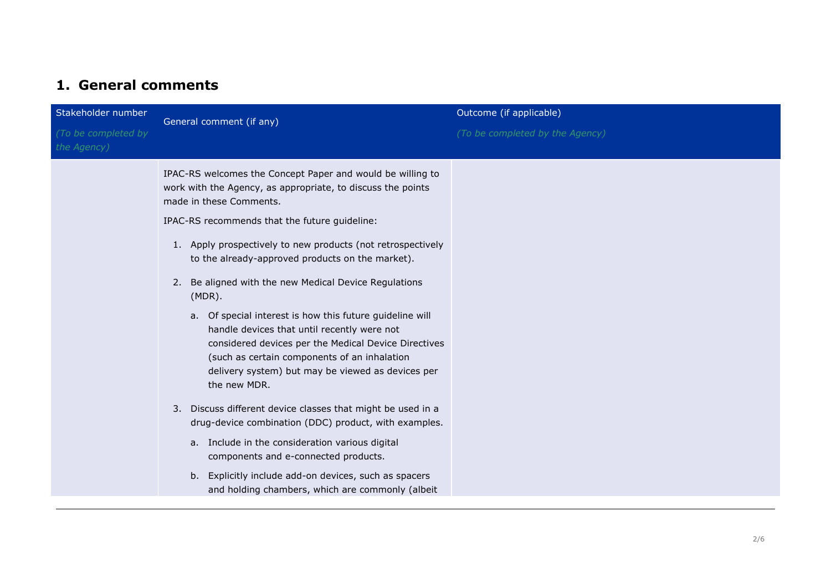## **1. General comments**

| Stakeholder number                 | General comment (if any)                                                                                                                                                                                                                                                                                                                                                                                                                                                                                                                                                                                                                                                                                                                                                                                                                                                                                                                                                                                               | Outcome (if applicable)         |  |
|------------------------------------|------------------------------------------------------------------------------------------------------------------------------------------------------------------------------------------------------------------------------------------------------------------------------------------------------------------------------------------------------------------------------------------------------------------------------------------------------------------------------------------------------------------------------------------------------------------------------------------------------------------------------------------------------------------------------------------------------------------------------------------------------------------------------------------------------------------------------------------------------------------------------------------------------------------------------------------------------------------------------------------------------------------------|---------------------------------|--|
| (To be completed by<br>the Agency) |                                                                                                                                                                                                                                                                                                                                                                                                                                                                                                                                                                                                                                                                                                                                                                                                                                                                                                                                                                                                                        | (To be completed by the Agency) |  |
|                                    | IPAC-RS welcomes the Concept Paper and would be willing to<br>work with the Agency, as appropriate, to discuss the points<br>made in these Comments.<br>IPAC-RS recommends that the future guideline:<br>1. Apply prospectively to new products (not retrospectively<br>to the already-approved products on the market).<br>2. Be aligned with the new Medical Device Regulations<br>$(MDR)$ .<br>a. Of special interest is how this future guideline will<br>handle devices that until recently were not<br>considered devices per the Medical Device Directives<br>(such as certain components of an inhalation<br>delivery system) but may be viewed as devices per<br>the new MDR.<br>3. Discuss different device classes that might be used in a<br>drug-device combination (DDC) product, with examples.<br>a. Include in the consideration various digital<br>components and e-connected products.<br>b. Explicitly include add-on devices, such as spacers<br>and holding chambers, which are commonly (albeit |                                 |  |
|                                    |                                                                                                                                                                                                                                                                                                                                                                                                                                                                                                                                                                                                                                                                                                                                                                                                                                                                                                                                                                                                                        |                                 |  |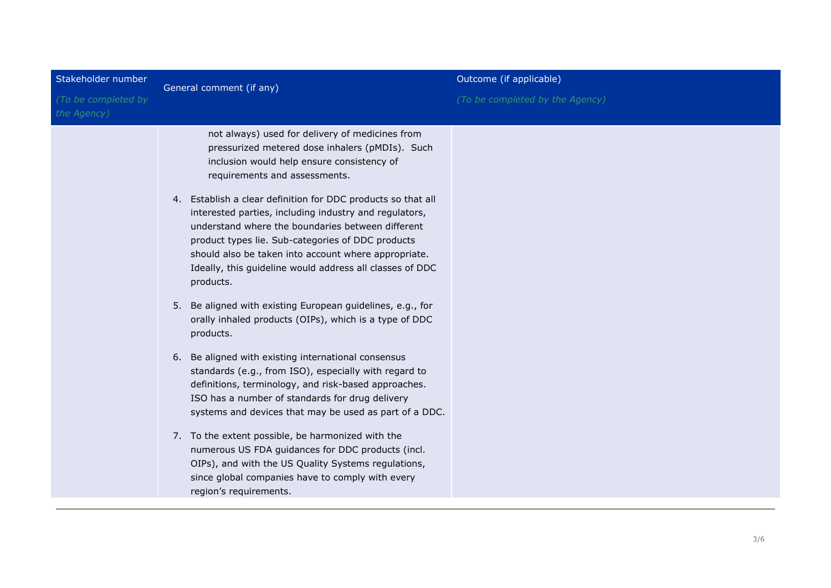| Stakeholder number                 | General comment (if any)                                                                                                                                                                                                                                                                                                                                                                                                                                                                                                                                                                                                                                                                                                                                                                                                                                                                                                                                                                                                                                                                                                                                                                                                        | Outcome (if applicable)         |  |
|------------------------------------|---------------------------------------------------------------------------------------------------------------------------------------------------------------------------------------------------------------------------------------------------------------------------------------------------------------------------------------------------------------------------------------------------------------------------------------------------------------------------------------------------------------------------------------------------------------------------------------------------------------------------------------------------------------------------------------------------------------------------------------------------------------------------------------------------------------------------------------------------------------------------------------------------------------------------------------------------------------------------------------------------------------------------------------------------------------------------------------------------------------------------------------------------------------------------------------------------------------------------------|---------------------------------|--|
| (To be completed by<br>the Agency) |                                                                                                                                                                                                                                                                                                                                                                                                                                                                                                                                                                                                                                                                                                                                                                                                                                                                                                                                                                                                                                                                                                                                                                                                                                 | (To be completed by the Agency) |  |
|                                    | not always) used for delivery of medicines from<br>pressurized metered dose inhalers (pMDIs). Such<br>inclusion would help ensure consistency of<br>requirements and assessments.<br>4. Establish a clear definition for DDC products so that all<br>interested parties, including industry and regulators,<br>understand where the boundaries between different<br>product types lie. Sub-categories of DDC products<br>should also be taken into account where appropriate.<br>Ideally, this guideline would address all classes of DDC<br>products.<br>5. Be aligned with existing European guidelines, e.g., for<br>orally inhaled products (OIPs), which is a type of DDC<br>products.<br>6. Be aligned with existing international consensus<br>standards (e.g., from ISO), especially with regard to<br>definitions, terminology, and risk-based approaches.<br>ISO has a number of standards for drug delivery<br>systems and devices that may be used as part of a DDC.<br>7. To the extent possible, be harmonized with the<br>numerous US FDA guidances for DDC products (incl.<br>OIPs), and with the US Quality Systems regulations,<br>since global companies have to comply with every<br>region's requirements. |                                 |  |
|                                    |                                                                                                                                                                                                                                                                                                                                                                                                                                                                                                                                                                                                                                                                                                                                                                                                                                                                                                                                                                                                                                                                                                                                                                                                                                 |                                 |  |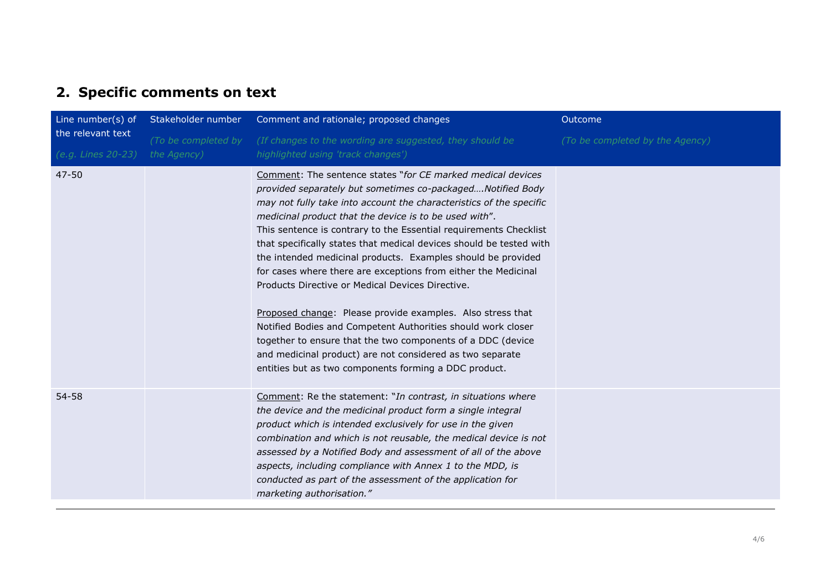## **2. Specific comments on text**

| Line number(s) of                       | Stakeholder number                 | Comment and rationale; proposed changes                                                                                                                                                                                                                                                                                                                                                                                                                                                                                                                                                                                                                                                                                                                                                                                                                                                                         | Outcome                         |
|-----------------------------------------|------------------------------------|-----------------------------------------------------------------------------------------------------------------------------------------------------------------------------------------------------------------------------------------------------------------------------------------------------------------------------------------------------------------------------------------------------------------------------------------------------------------------------------------------------------------------------------------------------------------------------------------------------------------------------------------------------------------------------------------------------------------------------------------------------------------------------------------------------------------------------------------------------------------------------------------------------------------|---------------------------------|
| the relevant text<br>(e.g. Lines 20-23) | (To be completed by<br>the Agency) | (If changes to the wording are suggested, they should be<br>highlighted using 'track changes')                                                                                                                                                                                                                                                                                                                                                                                                                                                                                                                                                                                                                                                                                                                                                                                                                  | (To be completed by the Agency) |
| $47 - 50$                               |                                    | Comment: The sentence states "for CE marked medical devices<br>provided separately but sometimes co-packagedNotified Body<br>may not fully take into account the characteristics of the specific<br>medicinal product that the device is to be used with".<br>This sentence is contrary to the Essential requirements Checklist<br>that specifically states that medical devices should be tested with<br>the intended medicinal products. Examples should be provided<br>for cases where there are exceptions from either the Medicinal<br>Products Directive or Medical Devices Directive.<br>Proposed change: Please provide examples. Also stress that<br>Notified Bodies and Competent Authorities should work closer<br>together to ensure that the two components of a DDC (device<br>and medicinal product) are not considered as two separate<br>entities but as two components forming a DDC product. |                                 |
| 54-58                                   |                                    | Comment: Re the statement: "In contrast, in situations where<br>the device and the medicinal product form a single integral<br>product which is intended exclusively for use in the given<br>combination and which is not reusable, the medical device is not<br>assessed by a Notified Body and assessment of all of the above<br>aspects, including compliance with Annex 1 to the MDD, is<br>conducted as part of the assessment of the application for<br>marketing authorisation."                                                                                                                                                                                                                                                                                                                                                                                                                         |                                 |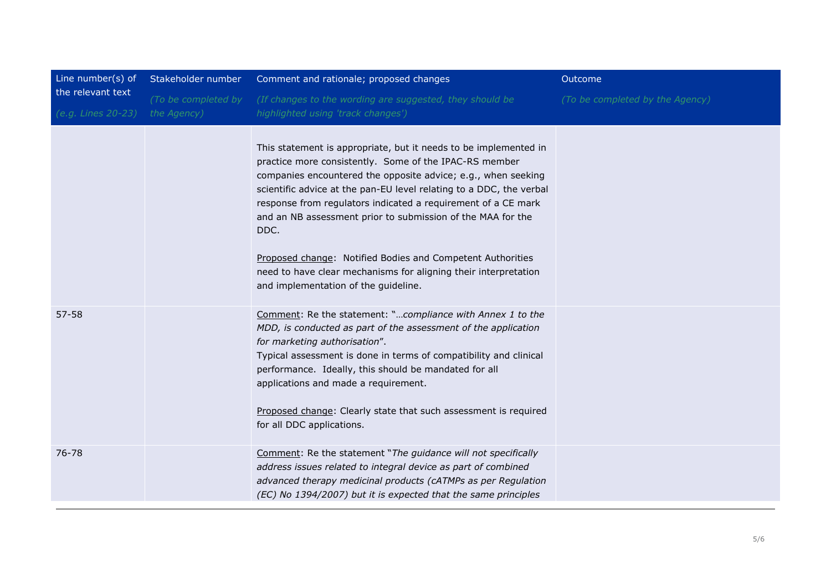| Line number(s) of  | Stakeholder number  | Comment and rationale; proposed changes                                                                                                                                                                                                                                                                                                                                                                                                                                  | Outcome                         |
|--------------------|---------------------|--------------------------------------------------------------------------------------------------------------------------------------------------------------------------------------------------------------------------------------------------------------------------------------------------------------------------------------------------------------------------------------------------------------------------------------------------------------------------|---------------------------------|
| the relevant text  | (To be completed by | (If changes to the wording are suggested, they should be                                                                                                                                                                                                                                                                                                                                                                                                                 | (To be completed by the Agency) |
| (e.g. Lines 20-23) | the Agency)         | highlighted using 'track changes')                                                                                                                                                                                                                                                                                                                                                                                                                                       |                                 |
|                    |                     | This statement is appropriate, but it needs to be implemented in<br>practice more consistently. Some of the IPAC-RS member<br>companies encountered the opposite advice; e.g., when seeking<br>scientific advice at the pan-EU level relating to a DDC, the verbal<br>response from regulators indicated a requirement of a CE mark<br>and an NB assessment prior to submission of the MAA for the<br>DDC.<br>Proposed change: Notified Bodies and Competent Authorities |                                 |
|                    |                     | need to have clear mechanisms for aligning their interpretation<br>and implementation of the guideline.                                                                                                                                                                                                                                                                                                                                                                  |                                 |
| $57 - 58$          |                     | Comment: Re the statement: "compliance with Annex 1 to the<br>MDD, is conducted as part of the assessment of the application<br>for marketing authorisation".<br>Typical assessment is done in terms of compatibility and clinical<br>performance. Ideally, this should be mandated for all<br>applications and made a requirement.                                                                                                                                      |                                 |
|                    |                     | Proposed change: Clearly state that such assessment is required<br>for all DDC applications.                                                                                                                                                                                                                                                                                                                                                                             |                                 |
| 76-78              |                     | Comment: Re the statement "The guidance will not specifically<br>address issues related to integral device as part of combined<br>advanced therapy medicinal products (cATMPs as per Regulation<br>(EC) No 1394/2007) but it is expected that the same principles                                                                                                                                                                                                        |                                 |